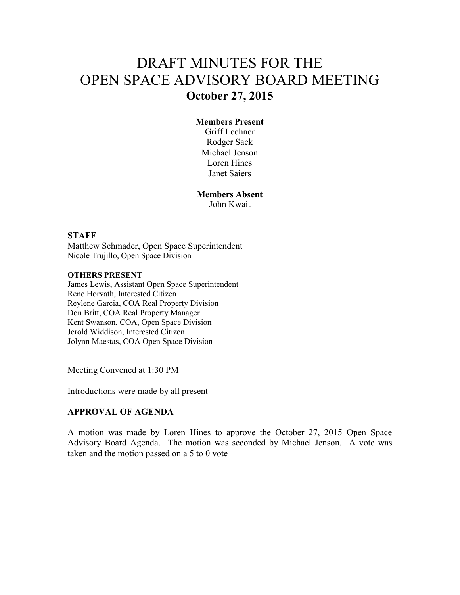# DRAFT MINUTES FOR THE OPEN SPACE ADVISORY BOARD MEETING **October 27, 2015**

## **Members Present**

Griff Lechner Rodger Sack Michael Jenson Loren Hines Janet Saiers

**Members Absent**  John Kwait

#### **STAFF**

Matthew Schmader, Open Space Superintendent Nicole Trujillo, Open Space Division

#### **OTHERS PRESENT**

James Lewis, Assistant Open Space Superintendent Rene Horvath, Interested Citizen Reylene Garcia, COA Real Property Division Don Britt, COA Real Property Manager Kent Swanson, COA, Open Space Division Jerold Widdison, Interested Citizen Jolynn Maestas, COA Open Space Division

Meeting Convened at 1:30 PM

Introductions were made by all present

### **APPROVAL OF AGENDA**

A motion was made by Loren Hines to approve the October 27, 2015 Open Space Advisory Board Agenda. The motion was seconded by Michael Jenson. A vote was taken and the motion passed on a 5 to 0 vote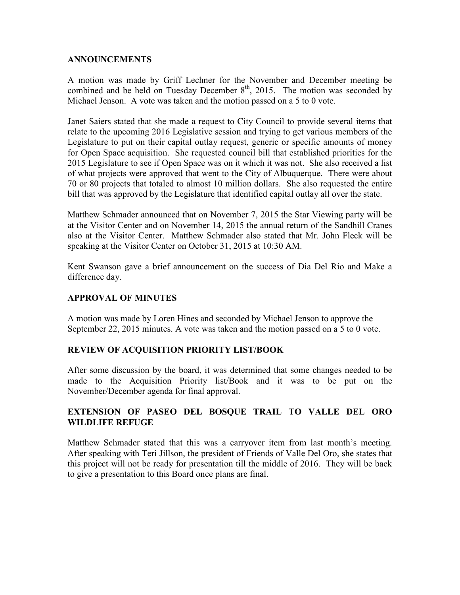### **ANNOUNCEMENTS**

A motion was made by Griff Lechner for the November and December meeting be combined and be held on Tuesday December  $8<sup>th</sup>$ , 2015. The motion was seconded by Michael Jenson. A vote was taken and the motion passed on a 5 to 0 vote.

Janet Saiers stated that she made a request to City Council to provide several items that relate to the upcoming 2016 Legislative session and trying to get various members of the Legislature to put on their capital outlay request, generic or specific amounts of money for Open Space acquisition. She requested council bill that established priorities for the 2015 Legislature to see if Open Space was on it which it was not. She also received a list of what projects were approved that went to the City of Albuquerque. There were about 70 or 80 projects that totaled to almost 10 million dollars. She also requested the entire bill that was approved by the Legislature that identified capital outlay all over the state.

Matthew Schmader announced that on November 7, 2015 the Star Viewing party will be at the Visitor Center and on November 14, 2015 the annual return of the Sandhill Cranes also at the Visitor Center. Matthew Schmader also stated that Mr. John Fleck will be speaking at the Visitor Center on October 31, 2015 at 10:30 AM.

Kent Swanson gave a brief announcement on the success of Dia Del Rio and Make a difference day.

# **APPROVAL OF MINUTES**

A motion was made by Loren Hines and seconded by Michael Jenson to approve the September 22, 2015 minutes. A vote was taken and the motion passed on a 5 to 0 vote.

### **REVIEW OF ACQUISITION PRIORITY LIST/BOOK**

After some discussion by the board, it was determined that some changes needed to be made to the Acquisition Priority list/Book and it was to be put on the November/December agenda for final approval.

# **EXTENSION OF PASEO DEL BOSQUE TRAIL TO VALLE DEL ORO WILDLIFE REFUGE**

Matthew Schmader stated that this was a carryover item from last month's meeting. After speaking with Teri Jillson, the president of Friends of Valle Del Oro, she states that this project will not be ready for presentation till the middle of 2016. They will be back to give a presentation to this Board once plans are final.